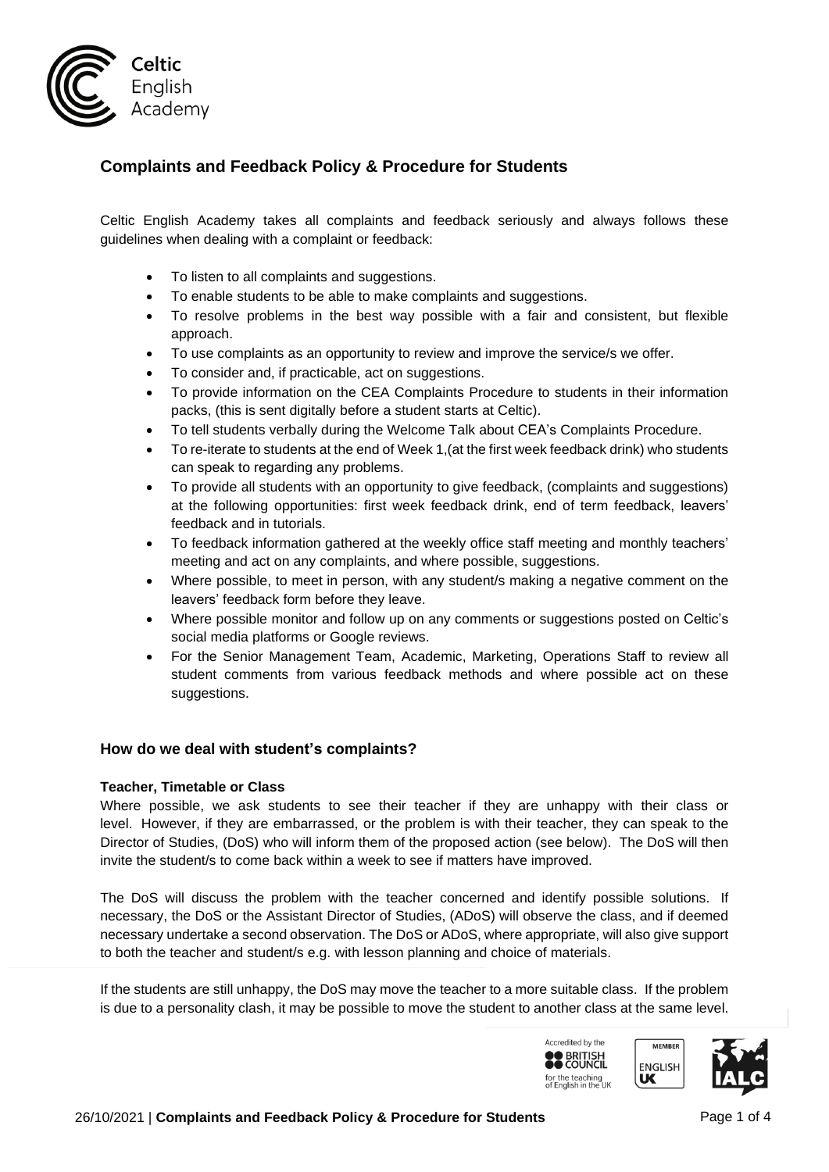

## **Complaints and Feedback Policy & Procedure for Students**

Celtic English Academy takes all complaints and feedback seriously and always follows these guidelines when dealing with a complaint or feedback:

- To listen to all complaints and suggestions.
- To enable students to be able to make complaints and suggestions.
- To resolve problems in the best way possible with a fair and consistent, but flexible approach.
- To use complaints as an opportunity to review and improve the service/s we offer.
- To consider and, if practicable, act on suggestions.
- To provide information on the CEA Complaints Procedure to students in their information packs, (this is sent digitally before a student starts at Celtic).
- To tell students verbally during the Welcome Talk about CEA's Complaints Procedure.
- To re-iterate to students at the end of Week 1,(at the first week feedback drink) who students can speak to regarding any problems.
- To provide all students with an opportunity to give feedback, (complaints and suggestions) at the following opportunities: first week feedback drink, end of term feedback, leavers' feedback and in tutorials.
- To feedback information gathered at the weekly office staff meeting and monthly teachers' meeting and act on any complaints, and where possible, suggestions.
- Where possible, to meet in person, with any student/s making a negative comment on the leavers' feedback form before they leave.
- Where possible monitor and follow up on any comments or suggestions posted on Celtic's social media platforms or Google reviews.
- For the Senior Management Team, Academic, Marketing, Operations Staff to review all student comments from various feedback methods and where possible act on these suggestions.

### **How do we deal with student's complaints?**

#### **Teacher, Timetable or Class**

Where possible, we ask students to see their teacher if they are unhappy with their class or level. However, if they are embarrassed, or the problem is with their teacher, they can speak to the Director of Studies, (DoS) who will inform them of the proposed action (see below). The DoS will then invite the student/s to come back within a week to see if matters have improved.

The DoS will discuss the problem with the teacher concerned and identify possible solutions. If necessary, the DoS or the Assistant Director of Studies, (ADoS) will observe the class, and if deemed necessary undertake a second observation. The DoS or ADoS, where appropriate, will also give support to both the teacher and student/s e.g. with lesson planning and choice of materials.

If the students are still unhappy, the DoS may move the teacher to a more suitable class. If the problem is due to a personality clash, it may be possible to move the student to another class at the same level.

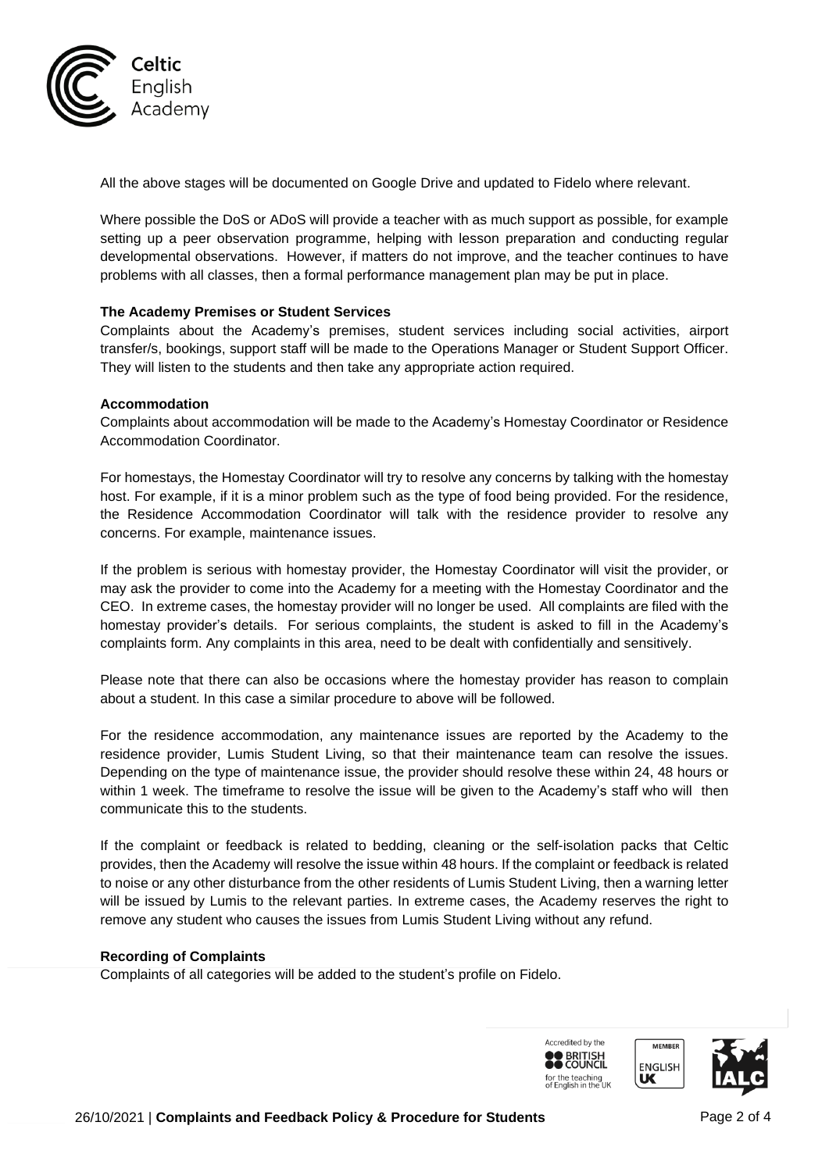

All the above stages will be documented on Google Drive and updated to Fidelo where relevant.

Where possible the DoS or ADoS will provide a teacher with as much support as possible, for example setting up a peer observation programme, helping with lesson preparation and conducting regular developmental observations. However, if matters do not improve, and the teacher continues to have problems with all classes, then a formal performance management plan may be put in place.

#### **The Academy Premises or Student Services**

Complaints about the Academy's premises, student services including social activities, airport transfer/s, bookings, support staff will be made to the Operations Manager or Student Support Officer. They will listen to the students and then take any appropriate action required.

#### **Accommodation**

Complaints about accommodation will be made to the Academy's Homestay Coordinator or Residence Accommodation Coordinator.

For homestays, the Homestay Coordinator will try to resolve any concerns by talking with the homestay host. For example, if it is a minor problem such as the type of food being provided. For the residence, the Residence Accommodation Coordinator will talk with the residence provider to resolve any concerns. For example, maintenance issues.

If the problem is serious with homestay provider, the Homestay Coordinator will visit the provider, or may ask the provider to come into the Academy for a meeting with the Homestay Coordinator and the CEO. In extreme cases, the homestay provider will no longer be used. All complaints are filed with the homestay provider's details. For serious complaints, the student is asked to fill in the Academy's complaints form. Any complaints in this area, need to be dealt with confidentially and sensitively.

Please note that there can also be occasions where the homestay provider has reason to complain about a student. In this case a similar procedure to above will be followed.

For the residence accommodation, any maintenance issues are reported by the Academy to the residence provider, Lumis Student Living, so that their maintenance team can resolve the issues. Depending on the type of maintenance issue, the provider should resolve these within 24, 48 hours or within 1 week. The timeframe to resolve the issue will be given to the Academy's staff who will then communicate this to the students.

If the complaint or feedback is related to bedding, cleaning or the self-isolation packs that Celtic provides, then the Academy will resolve the issue within 48 hours. If the complaint or feedback is related to noise or any other disturbance from the other residents of Lumis Student Living, then a warning letter will be issued by Lumis to the relevant parties. In extreme cases, the Academy reserves the right to remove any student who causes the issues from Lumis Student Living without any refund.

#### **Recording of Complaints**

Complaints of all categories will be added to the student's profile on Fidelo.

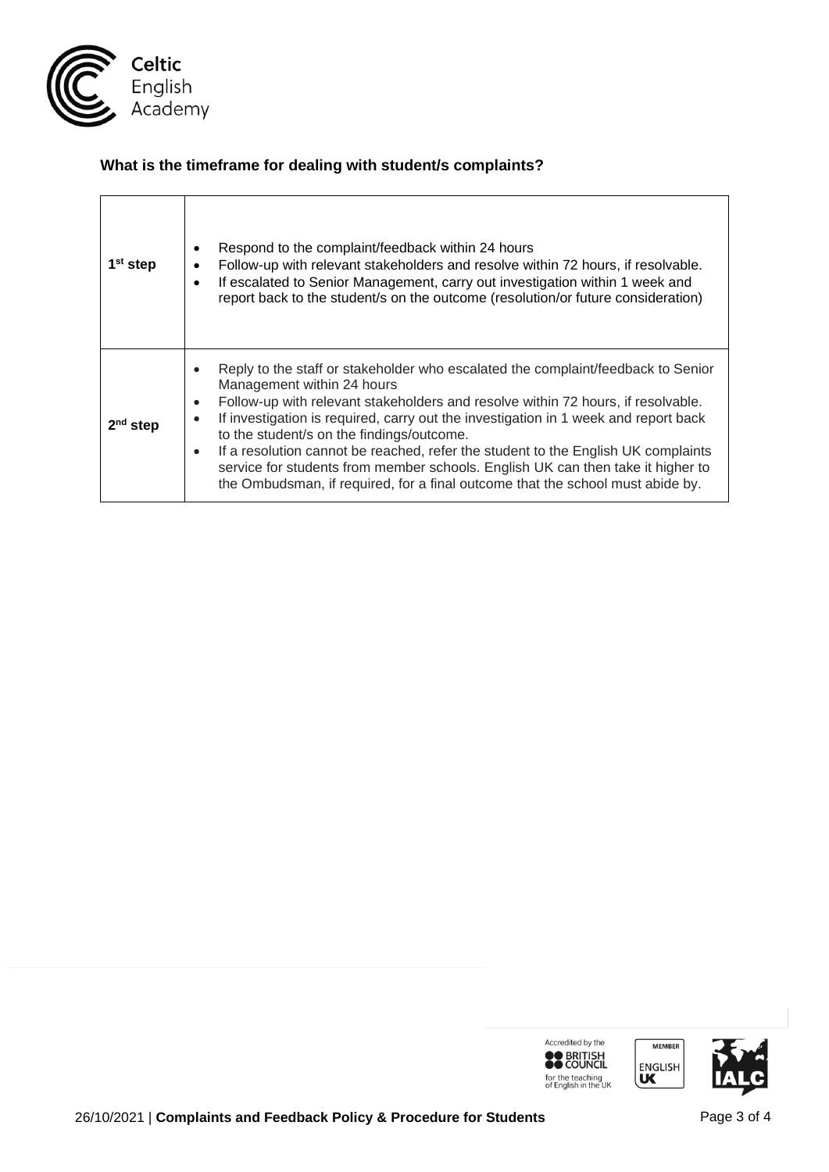

# **What is the timeframe for dealing with student/s complaints?**

| 1 <sup>st</sup> step | Respond to the complaint/feedback within 24 hours<br>$\bullet$<br>Follow-up with relevant stakeholders and resolve within 72 hours, if resolvable.<br>٠<br>If escalated to Senior Management, carry out investigation within 1 week and<br>$\bullet$<br>report back to the student/s on the outcome (resolution/or future consideration)                                                                                                                                                                                                                                                                                                             |
|----------------------|------------------------------------------------------------------------------------------------------------------------------------------------------------------------------------------------------------------------------------------------------------------------------------------------------------------------------------------------------------------------------------------------------------------------------------------------------------------------------------------------------------------------------------------------------------------------------------------------------------------------------------------------------|
| step                 | Reply to the staff or stakeholder who escalated the complaint/feedback to Senior<br>$\bullet$<br>Management within 24 hours<br>Follow-up with relevant stakeholders and resolve within 72 hours, if resolvable.<br>$\bullet$<br>If investigation is required, carry out the investigation in 1 week and report back<br>$\bullet$<br>to the student/s on the findings/outcome.<br>If a resolution cannot be reached, refer the student to the English UK complaints<br>$\bullet$<br>service for students from member schools. English UK can then take it higher to<br>the Ombudsman, if required, for a final outcome that the school must abide by. |